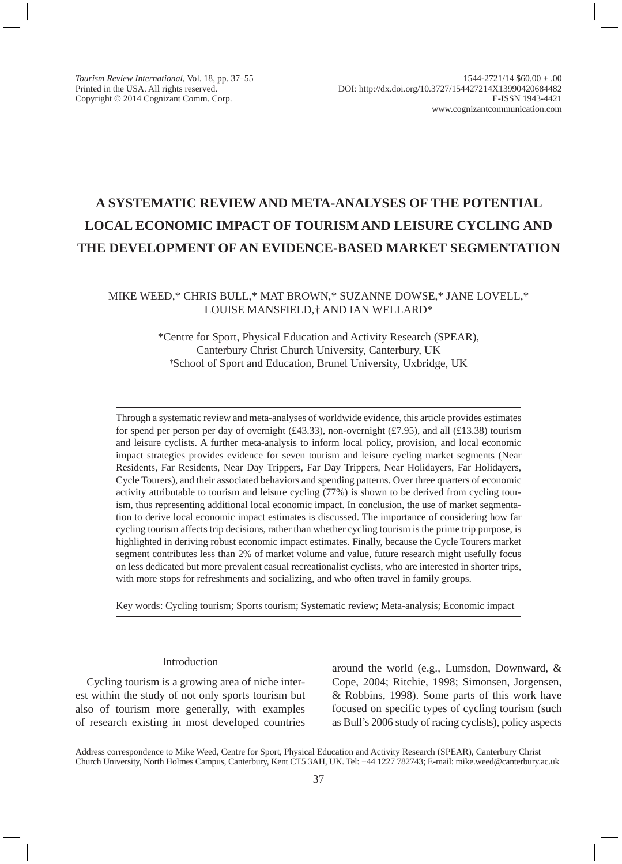# A SYSTEMATIC REVIEW AND META-ANALYSES OF THE POTENTIAL **LOCAL ECONOMIC IMPACT OF TOURISM AND LEISURE CYCLING AND** THE DEVELOPMENT OF AN EVIDENCE-BASED MARKET SEGMENTATION

## MIKE WEED,\* CHRIS BULL,\* MAT BROWN,\* SUZANNE DOWSE,\* JANE LOVELL,\* LOUISE MANSFIELD,† AND IAN WELLARD\*

# \*Centre for Sport, Physical Education and Activity Research (SPEAR), Canterbury Christ Church University, Canterbury, UK <sup>†</sup>School of Sport and Education, Brunel University, Uxbridge, UK

Through a systematic review and meta-analyses of worldwide evidence, this article provides estimates for spend per person per day of overnight (£43.33), non-overnight (£7.95), and all (£13.38) tourism and leisure cyclists. A further meta-analysis to inform local policy, provision, and local economic impact strategies provides evidence for seven tourism and leisure cycling market segments (Near Residents, Far Residents, Near Day Trippers, Far Day Trippers, Near Holidayers, Far Holidayers, Cycle Tourers), and their associated behaviors and spending patterns. Over three quarters of economic activity attributable to tourism and leisure cycling (77%) is shown to be derived from cycling tourism, thus representing additional local economic impact. In conclusion, the use of market segmentation to derive local economic impact estimates is discussed. The importance of considering how far cycling tourism affects trip decisions, rather than whether cycling tourism is the prime trip purpose, is highlighted in deriving robust economic impact estimates. Finally, because the Cycle Tourers market segment contributes less than 2% of market volume and value, future research might usefully focus on less dedicated but more prevalent casual recreationalist cyclists, who are interested in shorter trips, with more stops for refreshments and socializing, and who often travel in family groups.

Key words: Cycling tourism; Sports tourism; Systematic review; Meta-analysis; Economic impact

## Introduction

Cycling tourism is a growing area of niche interest within the study of not only sports tourism but also of tourism more generally, with examples of research existing in most developed countries

around the world (e.g., Lumsdon, Downward, & Cope, 2004; Ritchie, 1998; Simonsen, Jorgensen, & Robbins, 1998). Some parts of this work have focused on specific types of cycling tourism (such as Bull's 2006 study of racing cyclists), policy aspects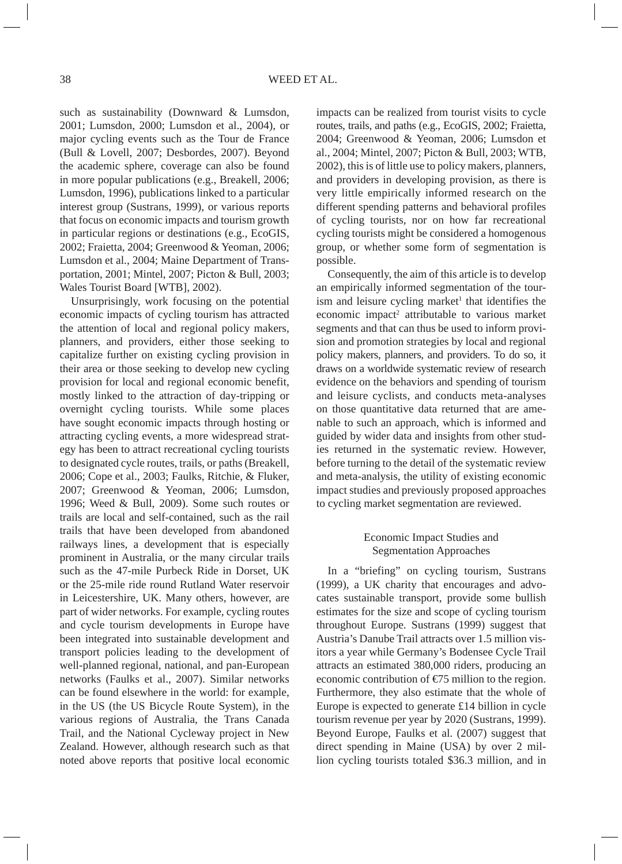such as sustainability (Downward & Lumsdon, 2001; Lumsdon, 2000; Lumsdon et al., 2004), or major cycling events such as the Tour de France (Bull & Lovell, 2007; Desbordes, 2007). Beyond the academic sphere, coverage can also be found in more popular publications (e.g., Breakell, 2006; Lumsdon, 1996), publications linked to a particular interest group (Sustrans, 1999), or various reports that focus on economic impacts and tourism growth in particular regions or destinations (e.g., EcoGIS, 2002: Fraietta, 2004: Greenwood & Yeoman, 2006: Lumsdon et al., 2004; Maine Department of Transportation, 2001; Mintel, 2007; Picton & Bull, 2003; Wales Tourist Board [WTB], 2002).

Unsurprisingly, work focusing on the potential economic impacts of cycling tourism has attracted the attention of local and regional policy makers, planners, and providers, either those seeking to capitalize further on existing cycling provision in their area or those seeking to develop new cycling provision for local and regional economic benefit, mostly linked to the attraction of day-tripping or overnight cycling tourists. While some places have sought economic impacts through hosting or attracting cycling events, a more widespread strategy has been to attract recreational cycling tourists to designated cycle routes, trails, or paths (Breakell, 2006; Cope et al., 2003; Faulks, Ritchie, & Fluker, 2007; Greenwood & Yeoman, 2006; Lumsdon, 1996; Weed & Bull, 2009). Some such routes or trails are local and self-contained, such as the rail trails that have been developed from abandoned railways lines, a development that is especially prominent in Australia, or the many circular trails such as the 47-mile Purbeck Ride in Dorset. UK or the 25-mile ride round Rutland Water reservoir in Leicestershire, UK. Many others, however, are part of wider networks. For example, cycling routes and cycle tourism developments in Europe have been integrated into sustainable development and transport policies leading to the development of well-planned regional, national, and pan-European networks (Faulks et al., 2007). Similar networks can be found elsewhere in the world: for example, in the US (the US Bicycle Route System), in the various regions of Australia, the Trans Canada Trail, and the National Cycleway project in New Zealand. However, although research such as that noted above reports that positive local economic

impacts can be realized from tourist visits to cycle routes, trails, and paths (e.g., EcoGIS, 2002; Fraietta, 2004; Greenwood & Yeoman, 2006; Lumsdon et al., 2004; Mintel, 2007; Picton & Bull, 2003; WTB, 2002), this is of little use to policy makers, planners, and providers in developing provision, as there is very little empirically informed research on the different spending patterns and behavioral profiles of cycling tourists, nor on how far recreational cycling tourists might be considered a homogenous group, or whether some form of segmentation is possible.

Consequently, the aim of this article is to develop an empirically informed segmentation of the tourism and leisure cycling market<sup>1</sup> that identifies the economic impact<sup>2</sup> attributable to various market segments and that can thus be used to inform provision and promotion strategies by local and regional policy makers, planners, and providers. To do so, it draws on a worldwide systematic review of research evidence on the behaviors and spending of tourism and leisure cyclists, and conducts meta-analyses on those quantitative data returned that are amenable to such an approach, which is informed and guided by wider data and insights from other studies returned in the systematic review. However, before turning to the detail of the systematic review and meta-analysis, the utility of existing economic impact studies and previously proposed approaches to cycling market segmentation are reviewed.

## Economic Impact Studies and **Segmentation Approaches**

In a "briefing" on cycling tourism, Sustrans (1999), a UK charity that encourages and advocates sustainable transport, provide some bullish estimates for the size and scope of cycling tourism throughout Europe. Sustrans (1999) suggest that Austria's Danube Trail attracts over 1.5 million visitors a year while Germany's Bodensee Cycle Trail attracts an estimated 380,000 riders, producing an economic contribution of  $\epsilon$ 75 million to the region. Furthermore, they also estimate that the whole of Europe is expected to generate £14 billion in cycle tourism revenue per year by 2020 (Sustrans, 1999). Beyond Europe, Faulks et al. (2007) suggest that direct spending in Maine (USA) by over 2 million cycling tourists totaled \$36.3 million, and in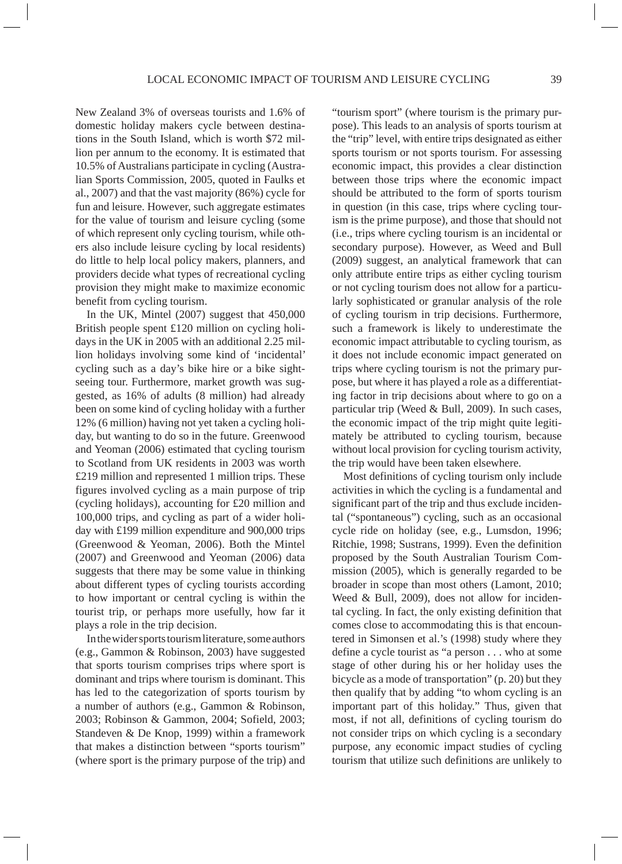New Zealand 3% of overseas tourists and 1.6% of domestic holiday makers cycle between destinations in the South Island, which is worth \$72 million per annum to the economy. It is estimated that 10.5% of Australians participate in cycling (Australian Sports Commission, 2005, quoted in Faulks et al.,  $2007$ ) and that the vast majority (86%) cycle for fun and leisure. However, such aggregate estimates for the value of tourism and leisure cycling (some of which represent only cycling tourism, while others also include leisure cycling by local residents) do little to help local policy makers, planners, and providers decide what types of recreational cycling provision they might make to maximize economic benefit from cycling tourism.

In the UK, Mintel  $(2007)$  suggest that  $450,000$ British people spent £120 million on cycling holidays in the UK in 2005 with an additional 2.25 million holidays involving some kind of 'incidental' cycling such as a day's bike hire or a bike sightseeing tour. Furthermore, market growth was suggested, as 16% of adults (8 million) had already been on some kind of cycling holiday with a further 12% (6 million) having not yet taken a cycling holiday, but wanting to do so in the future. Greenwood and Yeoman (2006) estimated that cycling tourism to Scotland from UK residents in 2003 was worth £219 million and represented 1 million trips. These figures involved cycling as a main purpose of trip (cycling holidays), accounting for £20 million and 100,000 trips, and cycling as part of a wider holiday with £199 million expenditure and 900,000 trips (Greenwood & Yeoman, 2006). Both the Mintel (2007) and Greenwood and Yeoman (2006) data suggests that there may be some value in thinking about different types of cycling tourists according to how important or central cycling is within the tourist trip, or perhaps more usefully, how far it plays a role in the trip decision.

In the wider sports tourism literature, some authors (e.g., Gammon & Robinson, 2003) have suggested that sports tourism comprises trips where sport is dominant and trips where tourism is dominant. This has led to the categorization of sports tourism by a number of authors (e.g., Gammon & Robinson, 2003; Robinson & Gammon, 2004; Sofield, 2003; Standeven & De Knop, 1999) within a framework that makes a distinction between "sports tourism" (where sport is the primary purpose of the trip) and "tourism sport" (where tourism is the primary purpose). This leads to an analysis of sports tourism at the "trip" level, with entire trips designated as either sports tourism or not sports tourism. For assessing economic impact, this provides a clear distinction between those trips where the economic impact should be attributed to the form of sports tourism in question (in this case, trips where cycling tourism is the prime purpose), and those that should not (i.e., trips where cycling tourism is an incidental or secondary purpose). However, as Weed and Bull (2009) suggest, an analytical framework that can only attribute entire trips as either cycling tourism or not cycling tourism does not allow for a particularly sophisticated or granular analysis of the role of cycling tourism in trip decisions. Furthermore, such a framework is likely to underestimate the economic impact attributable to cycling tourism, as it does not include economic impact generated on trips where cycling tourism is not the primary purpose, but where it has played a role as a differentiating factor in trip decisions about where to go on a particular trip (Weed & Bull, 2009). In such cases, the economic impact of the trip might quite legitimately be attributed to cycling tourism, because without local provision for cycling tourism activity, the trip would have been taken elsewhere.

Most definitions of cycling tourism only include activities in which the cycling is a fundamental and significant part of the trip and thus exclude incidental ("spontaneous") cycling, such as an occasional cycle ride on holiday (see, e.g., Lumsdon, 1996; Ritchie, 1998; Sustrans, 1999). Even the definition proposed by the South Australian Tourism Commission (2005), which is generally regarded to be broader in scope than most others (Lamont, 2010; Weed & Bull, 2009), does not allow for incidental cycling. In fact, the only existing definition that comes close to accommodating this is that encountered in Simonsen et al.'s (1998) study where they define a cycle tourist as "a person . . . who at some stage of other during his or her holiday uses the bicycle as a mode of transportation" (p. 20) but they then qualify that by adding "to whom cycling is an important part of this holiday." Thus, given that most, if not all, definitions of cycling tourism do not consider trips on which cycling is a secondary purpose, any economic impact studies of cycling tourism that utilize such definitions are unlikely to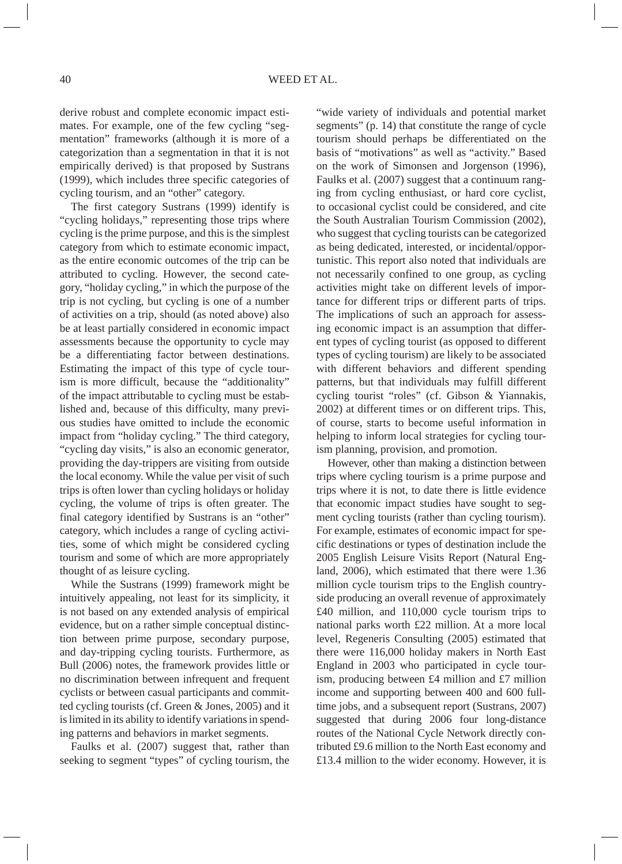derive robust and complete economic impact estimates. For example, one of the few cycling "segmentation" frameworks (although it is more of a categorization than a segmentation in that it is not empirically derived) is that proposed by Sustrans (1999), which includes three specific categories of cycling tourism, and an "other" category.

The first category Sustrans (1999) identify is "cycling holidays," representing those trips where cycling is the prime purpose, and this is the simplest category from which to estimate economic impact, as the entire economic outcomes of the trip can be attributed to cycling. However, the second category, "holiday cycling," in which the purpose of the trip is not cycling, but cycling is one of a number of activities on a trip, should (as noted above) also be at least partially considered in economic impact assessments because the opportunity to cycle may be a differentiating factor between destinations. Estimating the impact of this type of cycle tourism is more difficult, because the "additionality" of the impact attributable to cycling must be established and, because of this difficulty, many previous studies have omitted to include the economic impact from "holiday cycling." The third category, "cycling day visits," is also an economic generator, providing the day-trippers are visiting from outside the local economy. While the value per visit of such trips is often lower than cycling holidays or holiday cycling, the volume of trips is often greater. The final category identified by Sustrans is an "other" category, which includes a range of cycling activities, some of which might be considered cycling tourism and some of which are more appropriately thought of as leisure cycling.

While the Sustrans (1999) framework might be intuitively appealing, not least for its simplicity, it is not based on any extended analysis of empirical evidence, but on a rather simple conceptual distinction between prime purpose, secondary purpose, and day-tripping cycling tourists. Furthermore, as Bull (2006) notes, the framework provides little or no discrimination between infrequent and frequent cyclists or between casual participants and committed cycling tourists (cf. Green & Jones, 2005) and it is limited in its ability to identify variations in spending patterns and behaviors in market segments.

Faulks et al. (2007) suggest that, rather than seeking to segment "types" of cycling tourism, the

"wide variety of individuals and potential market segments" (p. 14) that constitute the range of cycle tourism should perhaps be differentiated on the basis of "motivations" as well as "activity." Based on the work of Simonsen and Jorgenson (1996), Faulks et al. (2007) suggest that a continuum ranging from cycling enthusiast, or hard core cyclist, to occasional cyclist could be considered, and cite the South Australian Tourism Commission (2002), who suggest that cycling tourists can be categorized as being dedicated, interested, or incidental/opportunistic. This report also noted that individuals are not necessarily confined to one group, as cycling activities might take on different levels of importance for different trips or different parts of trips. The implications of such an approach for assessing economic impact is an assumption that different types of cycling tourist (as opposed to different types of cycling tourism) are likely to be associated with different behaviors and different spending patterns, but that individuals may fulfill different cycling tourist "roles" (cf. Gibson & Yiannakis, 2002) at different times or on different trips. This, of course, starts to become useful information in helping to inform local strategies for cycling tourism planning, provision, and promotion.

However, other than making a distinction between trips where cycling tourism is a prime purpose and trips where it is not, to date there is little evidence that economic impact studies have sought to segment cycling tourists (rather than cycling tourism). For example, estimates of economic impact for specific destinations or types of destination include the 2005 English Leisure Visits Report (Natural England, 2006), which estimated that there were 1.36 million cycle tourism trips to the English countryside producing an overall revenue of approximately £40 million, and  $110,000$  cycle tourism trips to national parks worth £22 million. At a more local level, Regeneris Consulting (2005) estimated that there were 116,000 holiday makers in North East England in 2003 who participated in cycle tourism, producing between  $£4$  million and  $£7$  million income and supporting between 400 and 600 fulltime jobs, and a subsequent report (Sustrans, 2007) suggested that during 2006 four long-distance routes of the National Cycle Network directly contributed £9.6 million to the North East economy and £13.4 million to the wider economy. However, it is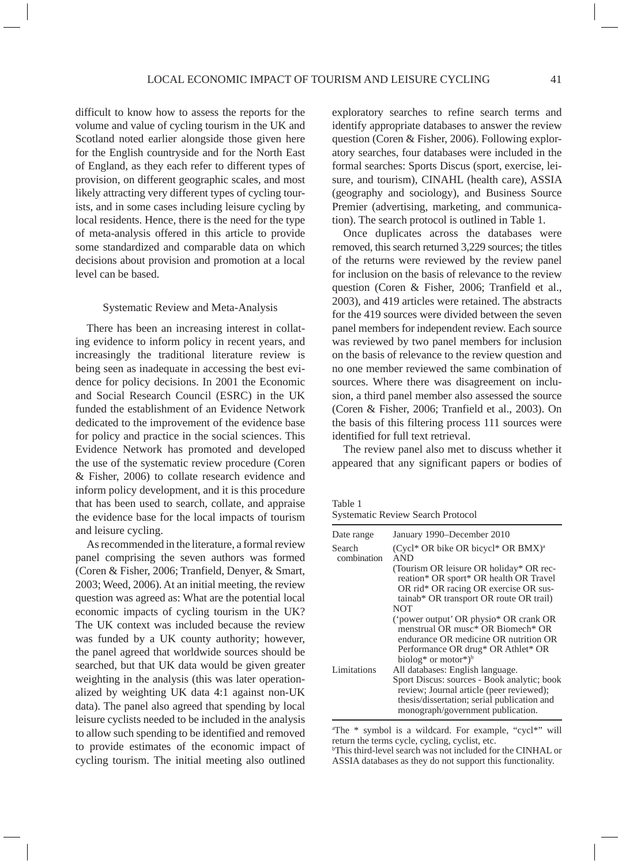difficult to know how to assess the reports for the volume and value of cycling tourism in the UK and Scotland noted earlier alongside those given here for the English countryside and for the North East of England, as they each refer to different types of provision, on different geographic scales, and most likely attracting very different types of cycling tourists, and in some cases including leisure cycling by local residents. Hence, there is the need for the type of meta-analysis offered in this article to provide some standardized and comparable data on which decisions about provision and promotion at a local level can be based.

## Systematic Review and Meta-Analysis

There has been an increasing interest in collating evidence to inform policy in recent years, and increasingly the traditional literature review is being seen as inadequate in accessing the best evidence for policy decisions. In 2001 the Economic and Social Research Council (ESRC) in the UK funded the establishment of an Evidence Network dedicated to the improvement of the evidence base for policy and practice in the social sciences. This Evidence Network has promoted and developed the use of the systematic review procedure (Coren & Fisher, 2006) to collate research evidence and inform policy development, and it is this procedure that has been used to search, collate, and appraise the evidence base for the local impacts of tourism and leisure cycling.

As recommended in the literature, a formal review panel comprising the seven authors was formed (Coren & Fisher, 2006; Tranfield, Denyer, & Smart, 2003; Weed, 2006). At an initial meeting, the review question was agreed as: What are the potential local economic impacts of cycling tourism in the UK? The UK context was included because the review was funded by a UK county authority; however, the panel agreed that worldwide sources should be searched, but that UK data would be given greater weighting in the analysis (this was later operationalized by weighting UK data 4:1 against non-UK data). The panel also agreed that spending by local leisure cyclists needed to be included in the analysis to allow such spending to be identified and removed to provide estimates of the economic impact of cycling tourism. The initial meeting also outlined exploratory searches to refine search terms and identify appropriate databases to answer the review question (Coren & Fisher, 2006). Following exploratory searches, four databases were included in the formal searches: Sports Discus (sport, exercise, leisure, and tourism), CINAHL (health care), ASSIA (geography and sociology), and Business Source Premier (advertising, marketing, and communication). The search protocol is outlined in Table 1.

Once duplicates across the databases were removed, this search returned 3.229 sources; the titles of the returns were reviewed by the review panel for inclusion on the basis of relevance to the review question (Coren & Fisher, 2006; Tranfield et al., 2003), and 419 articles were retained. The abstracts for the 419 sources were divided between the seven panel members for independent review. Each source was reviewed by two panel members for inclusion on the basis of relevance to the review question and no one member reviewed the same combination of sources. Where there was disagreement on inclusion, a third panel member also assessed the source (Coren & Fisher, 2006; Tranfield et al., 2003). On the basis of this filtering process 111 sources were identified for full text retrieval.

The review panel also met to discuss whether it appeared that any significant papers or bodies of

Table 1 **Systematic Review Search Protocol** 

| Date range            | January 1990–December 2010                                                                                                                                                                 |
|-----------------------|--------------------------------------------------------------------------------------------------------------------------------------------------------------------------------------------|
| Search<br>combination | (Cycl* OR bike OR bicycl* OR BMX) <sup>a</sup><br><b>AND</b>                                                                                                                               |
|                       | (Tourism OR leisure OR holiday* OR rec-<br>reation* OR sport* OR health OR Travel                                                                                                          |
|                       | OR rid* OR racing OR exercise OR sus-                                                                                                                                                      |
|                       | tainab* OR transport OR route OR trail)                                                                                                                                                    |
|                       | <b>NOT</b>                                                                                                                                                                                 |
|                       | ('power output' OR physio* OR crank OR<br>menstrual OR musc* OR Biomech* OR<br>endurance OR medicine OR nutrition OR<br>Performance OR drug* OR Athlet* OR<br>biolog* or motor*) $\bar{b}$ |
| Limitations           | All databases: English language.                                                                                                                                                           |
|                       | Sport Discus: sources - Book analytic; book<br>review; Journal article (peer reviewed);<br>thesis/dissertation; serial publication and<br>monograph/government publication.                |
|                       |                                                                                                                                                                                            |

<sup>a</sup>The \* symbol is a wildcard. For example, "cycl\*" will return the terms cycle, cycling, cyclist, etc.<br>
<sup>b</sup>This third-level search was not included for the CINHAL or

ASSIA databases as they do not support this functionality.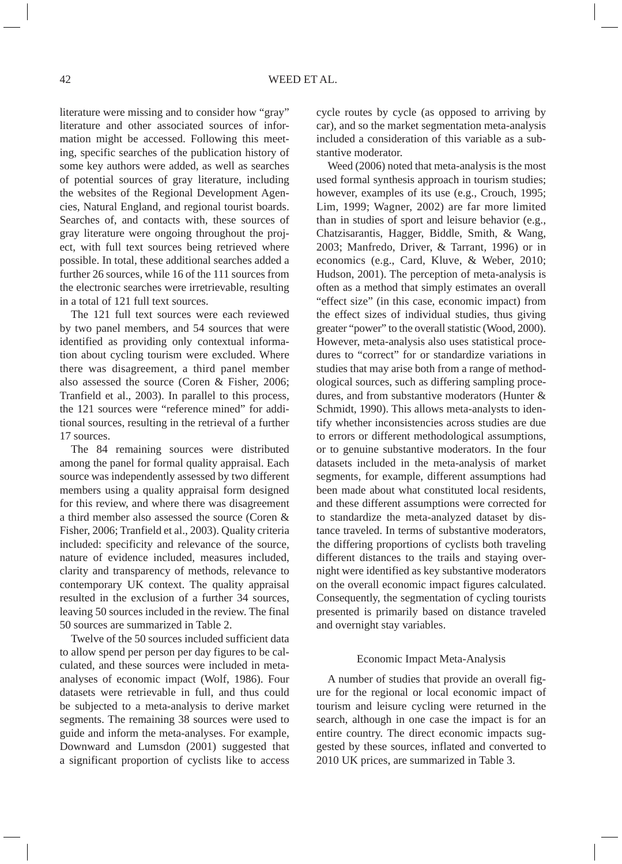literature were missing and to consider how "gray" literature and other associated sources of information might be accessed. Following this meeting, specific searches of the publication history of some key authors were added, as well as searches of potential sources of gray literature, including the websites of the Regional Development Agencies, Natural England, and regional tourist boards. Searches of, and contacts with, these sources of gray literature were ongoing throughout the project, with full text sources being retrieved where possible. In total, these additional searches added a further 26 sources, while 16 of the 111 sources from the electronic searches were irretrievable, resulting in a total of 121 full text sources.

The 121 full text sources were each reviewed by two panel members, and 54 sources that were identified as providing only contextual information about cycling tourism were excluded. Where there was disagreement, a third panel member also assessed the source (Coren & Fisher, 2006; Tranfield et al., 2003). In parallel to this process, the 121 sources were "reference mined" for additional sources, resulting in the retrieval of a further 17 sources.

The 84 remaining sources were distributed among the panel for formal quality appraisal. Each source was independently assessed by two different members using a quality appraisal form designed for this review, and where there was disagreement a third member also assessed the source (Coren & Fisher, 2006; Tranfield et al., 2003). Quality criteria included: specificity and relevance of the source, nature of evidence included, measures included, clarity and transparency of methods, relevance to contemporary UK context. The quality appraisal resulted in the exclusion of a further 34 sources. leaving 50 sources included in the review. The final 50 sources are summarized in Table 2.

Twelve of the 50 sources included sufficient data to allow spend per person per day figures to be calculated, and these sources were included in metaanalyses of economic impact (Wolf, 1986). Four datasets were retrievable in full, and thus could be subjected to a meta-analysis to derive market segments. The remaining 38 sources were used to guide and inform the meta-analyses. For example, Downward and Lumsdon (2001) suggested that a significant proportion of cyclists like to access cycle routes by cycle (as opposed to arriving by car), and so the market segmentation meta-analysis included a consideration of this variable as a substantive moderator.

Weed (2006) noted that meta-analysis is the most used formal synthesis approach in tourism studies; however, examples of its use (e.g., Crouch, 1995; Lim, 1999; Wagner, 2002) are far more limited than in studies of sport and leisure behavior (e.g., Chatzisarantis, Hagger, Biddle, Smith, & Wang, 2003: Manfredo, Driver, & Tarrant, 1996) or in economics (e.g., Card, Kluve, & Weber, 2010; Hudson, 2001). The perception of meta-analysis is often as a method that simply estimates an overall "effect size" (in this case, economic impact) from the effect sizes of individual studies, thus giving greater "power" to the overall statistic (Wood, 2000). However, meta-analysis also uses statistical procedures to "correct" for or standardize variations in studies that may arise both from a range of methodological sources, such as differing sampling procedures, and from substantive moderators (Hunter  $\&$ Schmidt, 1990). This allows meta-analysts to identify whether inconsistencies across studies are due to errors or different methodological assumptions, or to genuine substantive moderators. In the four datasets included in the meta-analysis of market segments, for example, different assumptions had been made about what constituted local residents. and these different assumptions were corrected for to standardize the meta-analyzed dataset by distance traveled. In terms of substantive moderators, the differing proportions of cyclists both traveling different distances to the trails and staying overnight were identified as key substantive moderators on the overall economic impact figures calculated. Consequently, the segmentation of cycling tourists presented is primarily based on distance traveled and overnight stay variables.

#### Economic Impact Meta-Analysis

A number of studies that provide an overall figure for the regional or local economic impact of tourism and leisure cycling were returned in the search, although in one case the impact is for an entire country. The direct economic impacts suggested by these sources, inflated and converted to 2010 UK prices, are summarized in Table 3.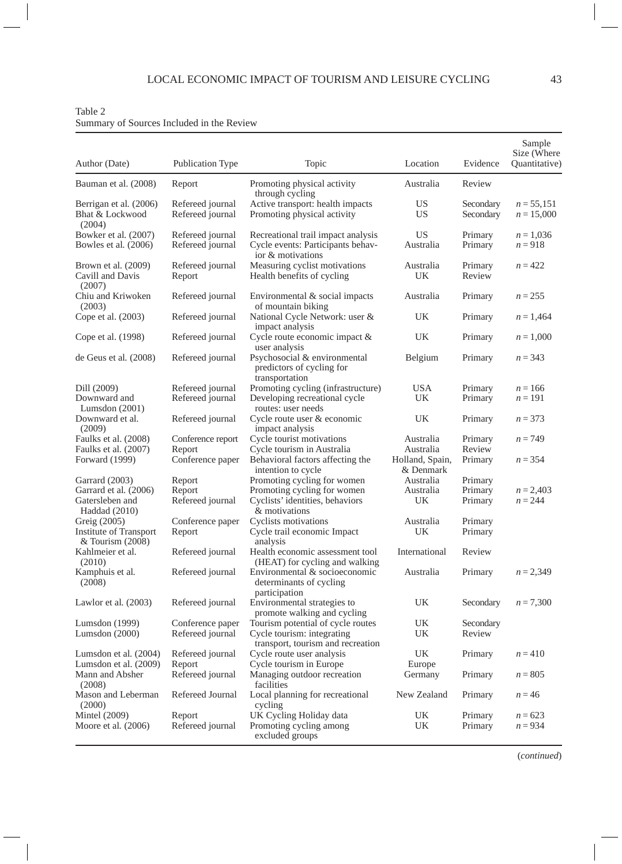## Table 2 Summary of Sources Included in the Review

| Author (Date)                                              | Publication Type                     | Topic                                                                                        | Location                     | Evidence               | Sample<br>Size (Where<br>Quantitative) |  |
|------------------------------------------------------------|--------------------------------------|----------------------------------------------------------------------------------------------|------------------------------|------------------------|----------------------------------------|--|
| Report<br>Bauman et al. (2008)                             |                                      | Promoting physical activity<br>through cycling                                               | Australia                    | Review                 |                                        |  |
| Berrigan et al. (2006)<br>Bhat & Lockwood<br>(2004)        | Refereed journal<br>Refereed journal | Active transport: health impacts<br>Promoting physical activity                              | US<br>US                     | Secondary<br>Secondary | $n = 55,151$<br>$n = 15,000$           |  |
| Bowker et al. (2007)<br>Bowles et al. (2006)               | Refereed journal<br>Refereed journal | Recreational trail impact analysis<br>Cycle events: Participants behav-<br>ior & motivations | US<br>Australia              | Primary<br>Primary     | $n = 1,036$<br>$n = 918$               |  |
| Brown et al. (2009)<br>Cavill and Davis<br>(2007)          | Refereed journal<br>Report           | Measuring cyclist motivations<br>Health benefits of cycling                                  | Australia<br>UK              | Primary<br>Review      | $n = 422$                              |  |
| Chiu and Kriwoken<br>(2003)                                | Refereed journal                     | Environmental & social impacts<br>of mountain biking                                         | Australia                    | Primary                | $n = 255$                              |  |
| Cope et al. (2003)                                         | Refereed journal                     | National Cycle Network: user &<br>impact analysis                                            | <b>UK</b>                    | Primary                | $n = 1,464$                            |  |
| Cope et al. (1998)                                         | Refereed journal                     | Cycle route economic impact &<br>user analysis                                               | UK                           | Primary                | $n = 1,000$                            |  |
| de Geus et al. $(2008)$                                    | Refereed journal                     | Psychosocial & environmental<br>predictors of cycling for<br>transportation                  | Belgium                      | Primary                | $n = 343$                              |  |
| Dill (2009)                                                | Refereed journal                     | Promoting cycling (infrastructure)                                                           | USA                          | Primary                | $n = 166$                              |  |
| Downward and<br>Lumsdon $(2001)$                           | Refereed journal                     | Developing recreational cycle<br>routes: user needs                                          | UK.                          | Primary                | $n = 191$                              |  |
| Downward et al.<br>(2009)                                  | Refereed journal                     | Cycle route user & economic<br>impact analysis                                               | UK.                          | Primary                | $n = 373$                              |  |
| Faulks et al. (2008)                                       | Conference report                    | Cycle tourist motivations                                                                    | Australia                    | Primary                | $n = 749$                              |  |
| Faulks et al. (2007)                                       | Report                               | Cycle tourism in Australia                                                                   | Australia                    | Review                 |                                        |  |
| Forward (1999)                                             | Conference paper                     | Behavioral factors affecting the<br>intention to cycle                                       | Holland, Spain,<br>& Denmark | Primary                | $n = 354$                              |  |
| Garrard (2003)                                             | Report                               | Promoting cycling for women                                                                  | Australia                    | Primary                |                                        |  |
| Garrard et al. (2006)                                      | Report                               | Promoting cycling for women                                                                  | Australia                    | Primary                | $n = 2,403$                            |  |
| Gatersleben and<br>Haddad (2010)                           | Refereed journal                     | Cyclists' identities, behaviors<br>& motivations                                             | UK                           | Primary                | $n = 244$                              |  |
| Greig (2005)<br>Institute of Transport<br>& Tourism (2008) | Conference paper<br>Report           | Cyclists motivations<br>Cycle trail economic Impact<br>analysis                              | Australia<br>UK              | Primary<br>Primary     |                                        |  |
| Kahlmeier et al.<br>(2010)                                 | Refereed journal                     | Health economic assessment tool<br>(HEAT) for cycling and walking                            | International                | Review                 |                                        |  |
| Kamphuis et al.<br>(2008)                                  | Refereed journal                     | Environmental & socioeconomic<br>determinants of cycling<br>participation                    | Australia                    | Primary                | $n = 2,349$                            |  |
| Lawlor et al. (2003)                                       | Refereed journal                     | Environmental strategies to<br>promote walking and cycling                                   | <b>UK</b>                    | Secondary              | $n = 7,300$                            |  |
| Lumsdon $(1999)$                                           | Conference paper                     | Tourism potential of cycle routes                                                            | UK                           | Secondary              |                                        |  |
| Lumsdon $(2000)$                                           | Refereed journal                     | Cycle tourism: integrating<br>transport, tourism and recreation                              | UK                           | Review                 |                                        |  |
| Lumsdon et al. (2004)                                      | Refereed journal                     | Cycle route user analysis                                                                    | UK                           | Primary                | $n = 410$                              |  |
| Lumsdon et al. (2009)                                      | Report                               | Cycle tourism in Europe                                                                      | Europe                       |                        |                                        |  |
| Mann and Absher<br>(2008)                                  | Refereed journal                     | Managing outdoor recreation<br>facilities                                                    | Germany                      | Primary                | $n = 805$                              |  |
| Mason and Leberman<br>(2000)                               | Refereed Journal                     | Local planning for recreational<br>cycling                                                   | New Zealand                  | Primary                | $n = 46$                               |  |
| Mintel (2009)                                              | Report                               | UK Cycling Holiday data                                                                      | UK                           | Primary                | $n = 623$                              |  |
| Moore et al. (2006)                                        | Refereed journal                     | Promoting cycling among<br>excluded groups                                                   | UK                           | Primary                | $n = 934$                              |  |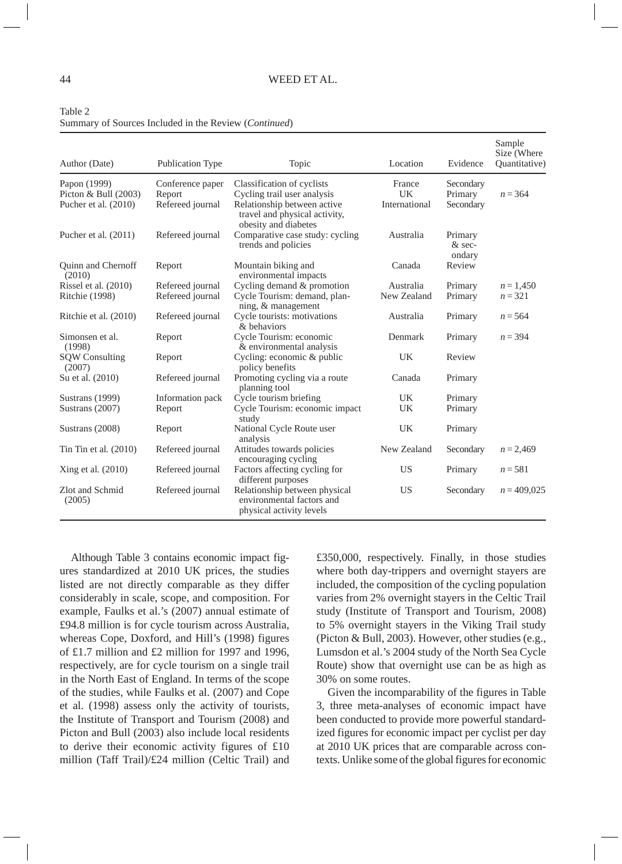| Author (Date)                        | Publication Type           | Topic                                                                                  | Location      | Evidence                    | Sample<br>Size (Where<br>Quantitative) |
|--------------------------------------|----------------------------|----------------------------------------------------------------------------------------|---------------|-----------------------------|----------------------------------------|
| Papon (1999)<br>Picton & Bull (2003) | Conference paper<br>Report | Classification of cyclists<br>Cycling trail user analysis                              | France<br>UK  | Secondary<br>Primary        | $n = 364$                              |
| Pucher et al. (2010)                 | Refereed journal           | Relationship between active<br>travel and physical activity,<br>obesity and diabetes   | International | Secondary                   |                                        |
| Pucher et al. (2011)                 | Refereed journal           | Comparative case study: cycling<br>trends and policies                                 | Australia     | Primary<br>& sec-<br>ondary |                                        |
| Quinn and Chernoff<br>(2010)         | Report                     | Mountain biking and<br>environmental impacts                                           | Canada        | Review                      |                                        |
| Rissel et al. (2010)                 | Refereed journal           | Cycling demand & promotion                                                             | Australia     | Primary                     | $n = 1,450$                            |
| Ritchie (1998)                       | Refereed journal           | Cycle Tourism: demand, plan-<br>ning, & management                                     | New Zealand   | Primary                     | $n = 321$                              |
| Ritchie et al. (2010)                | Refereed journal           | Cycle tourists: motivations<br>& behaviors                                             | Australia     | Primary                     | $n = 564$                              |
| Simonsen et al.<br>(1998)            | Report                     | Cycle Tourism: economic<br>& environmental analysis                                    | Denmark       | Primary                     | $n = 394$                              |
| <b>SQW Consulting</b><br>(2007)      | Report                     | Cycling: economic & public<br>policy benefits                                          | UK            | Review                      |                                        |
| Su et al. (2010)                     | Refereed journal           | Promoting cycling via a route<br>planning tool                                         | Canada        | Primary                     |                                        |
| Sustrans (1999)                      | Information pack           | Cycle tourism briefing                                                                 | UK.           | Primary                     |                                        |
| Sustrans (2007)                      | Report                     | Cycle Tourism: economic impact<br>study                                                | <b>UK</b>     | Primary                     |                                        |
| Sustrans (2008)                      | Report                     | National Cycle Route user<br>analysis                                                  | UK            | Primary                     |                                        |
| Tin Tin et al. (2010)                | Refereed journal           | Attitudes towards policies<br>encouraging cycling                                      | New Zealand   | Secondary                   | $n = 2,469$                            |
| Xing et al. (2010)                   | Refereed journal           | Factors affecting cycling for<br>different purposes                                    | US            | Primary                     | $n = 581$                              |
| Zlot and Schmid<br>(2005)            | Refereed journal           | Relationship between physical<br>environmental factors and<br>physical activity levels | <b>US</b>     | Secondary                   | $n = 409,025$                          |

Table 2 Summary of Sources Included in the Review (Continued)

Although Table 3 contains economic impact figures standardized at 2010 UK prices, the studies listed are not directly comparable as they differ considerably in scale, scope, and composition. For example, Faulks et al.'s (2007) annual estimate of £94.8 million is for cycle tourism across Australia, whereas Cope, Doxford, and Hill's (1998) figures of £1.7 million and £2 million for 1997 and 1996, respectively, are for cycle tourism on a single trail in the North East of England. In terms of the scope of the studies, while Faulks et al. (2007) and Cope et al. (1998) assess only the activity of tourists, the Institute of Transport and Tourism (2008) and Picton and Bull (2003) also include local residents to derive their economic activity figures of £10 million (Taff Trail)/£24 million (Celtic Trail) and £350,000, respectively. Finally, in those studies where both day-trippers and overnight stayers are included, the composition of the cycling population varies from 2% overnight stayers in the Celtic Trail study (Institute of Transport and Tourism, 2008) to 5% overnight stayers in the Viking Trail study (Picton & Bull, 2003). However, other studies (e.g., Lumsdon et al.'s 2004 study of the North Sea Cycle Route) show that overnight use can be as high as 30% on some routes.

Given the incomparability of the figures in Table 3, three meta-analyses of economic impact have been conducted to provide more powerful standardized figures for economic impact per cyclist per day at 2010 UK prices that are comparable across contexts. Unlike some of the global figures for economic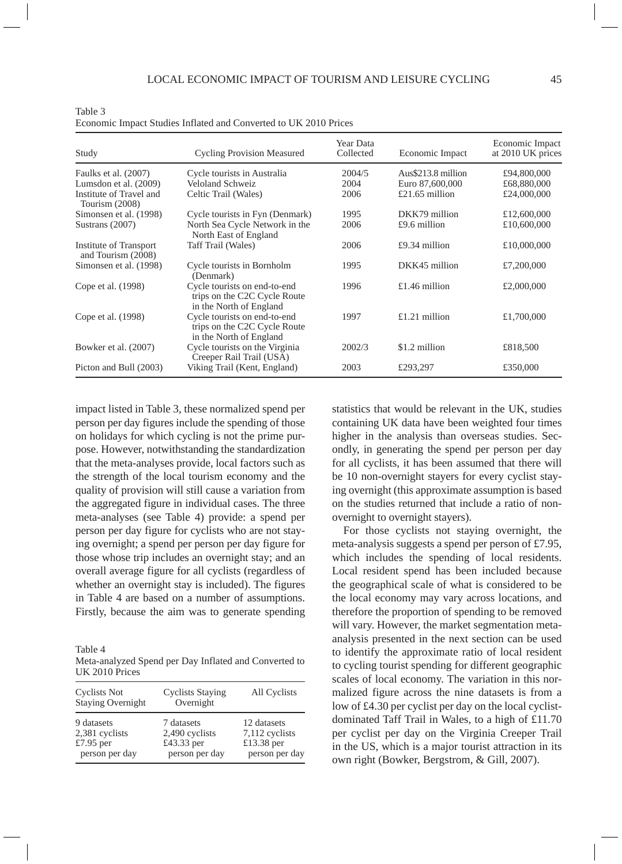| Study                                        | <b>Cycling Provision Measured</b>                                                                    | Year Data<br>Collected | Economic Impact    | Economic Impact<br>at 2010 UK prices |
|----------------------------------------------|------------------------------------------------------------------------------------------------------|------------------------|--------------------|--------------------------------------|
| Faulks et al. (2007)                         | Cycle tourists in Australia                                                                          | 2004/5                 | Aus\$213.8 million | £94,800,000                          |
| Lumsdon et al. (2009)                        | Veloland Schweiz                                                                                     | 2004                   | Euro 87,600,000    | £68,880,000                          |
| Institute of Travel and<br>Tourism $(2008)$  | Celtic Trail (Wales)                                                                                 | 2006                   | £21.65 million     | £24,000,000                          |
| Simonsen et al. (1998)                       | Cycle tourists in Fyn (Denmark)                                                                      | 1995                   | DKK79 million      | £12,600,000                          |
| Sustrans (2007)                              | North Sea Cycle Network in the<br>North East of England                                              | 2006                   | $£9.6$ million     | £10,600,000                          |
| Institute of Transport<br>and Tourism (2008) | Taff Trail (Wales)                                                                                   | 2006                   | $£9.34$ million    | £10,000,000                          |
| Simonsen et al. (1998)                       | Cycle tourists in Bornholm<br>(Denmark)                                                              | 1995                   | DKK45 million      | £7,200,000                           |
| Cope et al. (1998)                           | Cycle tourists on end-to-end<br>trips on the C <sub>2</sub> C Cycle Route<br>in the North of England | 1996                   | £1.46 million      | £2,000,000                           |
| Cope et al. (1998)                           | Cycle tourists on end-to-end<br>trips on the C2C Cycle Route<br>in the North of England              | 1997                   | $£1.21$ million    | £1,700,000                           |
| Bowker et al. (2007)                         | Cycle tourists on the Virginia<br>Creeper Rail Trail (USA)                                           | 2002/3                 | \$1.2 million      | £818,500                             |
| Picton and Bull (2003)                       | Viking Trail (Kent, England)                                                                         | 2003                   | £293,297           | £350,000                             |

Table 3 Economic Impact Studies Inflated and Converted to UK 2010 Prices

impact listed in Table 3, these normalized spend per person per day figures include the spending of those on holidays for which cycling is not the prime purpose. However, notwithstanding the standardization that the meta-analyses provide, local factors such as the strength of the local tourism economy and the quality of provision will still cause a variation from the aggregated figure in individual cases. The three meta-analyses (see Table 4) provide: a spend per person per day figure for cyclists who are not staying overnight; a spend per person per day figure for those whose trip includes an overnight stay; and an overall average figure for all cyclists (regardless of whether an overnight stay is included). The figures in Table 4 are based on a number of assumptions. Firstly, because the aim was to generate spending

Table 4

Meta-analyzed Spend per Day Inflated and Converted to UK 2010 Prices

| <b>Cyclists Not</b><br><b>Staying Overnight</b> | <b>Cyclists Staying</b><br>Overnight | All Cyclists   |
|-------------------------------------------------|--------------------------------------|----------------|
| 9 datasets                                      | 7 datasets                           | 12 datasets    |
| 2,381 cyclists                                  | 2,490 cyclists                       | 7,112 cyclists |
| £7.95 per                                       | £43.33 per                           | £13.38 per     |
| person per day                                  | person per day                       | person per day |

statistics that would be relevant in the UK, studies containing UK data have been weighted four times higher in the analysis than overseas studies. Secondly, in generating the spend per person per day for all cyclists, it has been assumed that there will be 10 non-overnight stayers for every cyclist staying overnight (this approximate assumption is based on the studies returned that include a ratio of nonovernight to overnight stayers).

For those cyclists not staying overnight, the meta-analysis suggests a spend per person of £7.95, which includes the spending of local residents. Local resident spend has been included because the geographical scale of what is considered to be the local economy may vary across locations, and therefore the proportion of spending to be removed will vary. However, the market segmentation metaanalysis presented in the next section can be used to identify the approximate ratio of local resident to cycling tourist spending for different geographic scales of local economy. The variation in this normalized figure across the nine datasets is from a low of £4.30 per cyclist per day on the local cyclistdominated Taff Trail in Wales, to a high of £11.70 per cyclist per day on the Virginia Creeper Trail in the US, which is a major tourist attraction in its own right (Bowker, Bergstrom, & Gill, 2007).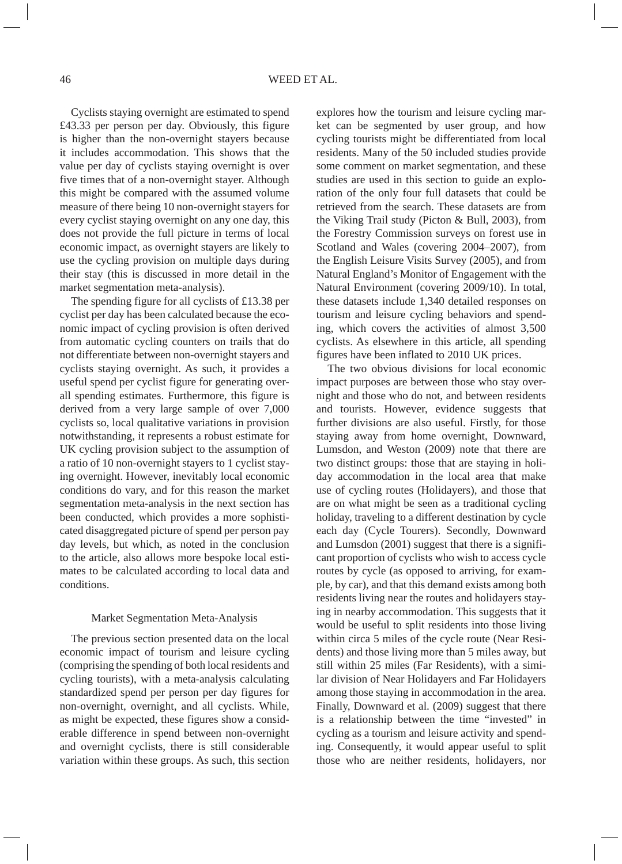Cyclists staying overnight are estimated to spend £43.33 per person per day. Obviously, this figure is higher than the non-overnight stayers because it includes accommodation. This shows that the value per day of cyclists staying overnight is over five times that of a non-overnight stayer. Although this might be compared with the assumed volume measure of there being 10 non-overnight stayers for every cyclist staying overnight on any one day, this does not provide the full picture in terms of local economic impact, as overnight stayers are likely to use the cycling provision on multiple days during their stay (this is discussed in more detail in the market segmentation meta-analysis).

The spending figure for all cyclists of £13.38 per cyclist per day has been calculated because the economic impact of cycling provision is often derived from automatic cycling counters on trails that do not differentiate between non-overnight stayers and cyclists staying overnight. As such, it provides a useful spend per cyclist figure for generating overall spending estimates. Furthermore, this figure is derived from a very large sample of over 7,000 cyclists so, local qualitative variations in provision notwithstanding, it represents a robust estimate for UK cycling provision subject to the assumption of a ratio of 10 non-overnight stayers to 1 cyclist staying overnight. However, inevitably local economic conditions do vary, and for this reason the market segmentation meta-analysis in the next section has been conducted, which provides a more sophisticated disaggregated picture of spend per person pay day levels, but which, as noted in the conclusion to the article, also allows more bespoke local estimates to be calculated according to local data and conditions.

#### **Market Segmentation Meta-Analysis**

The previous section presented data on the local economic impact of tourism and leisure cycling (comprising the spending of both local residents and cycling tourists), with a meta-analysis calculating standardized spend per person per day figures for non-overnight, overnight, and all cyclists. While, as might be expected, these figures show a considerable difference in spend between non-overnight and overnight cyclists, there is still considerable variation within these groups. As such, this section explores how the tourism and leisure cycling market can be segmented by user group, and how cycling tourists might be differentiated from local residents. Many of the 50 included studies provide some comment on market segmentation, and these studies are used in this section to guide an exploration of the only four full datasets that could be retrieved from the search. These datasets are from the Viking Trail study (Picton & Bull, 2003), from the Forestry Commission surveys on forest use in Scotland and Wales (covering 2004-2007), from the English Leisure Visits Survey (2005), and from Natural England's Monitor of Engagement with the Natural Environment (covering 2009/10). In total, these datasets include 1,340 detailed responses on tourism and leisure cycling behaviors and spending, which covers the activities of almost 3,500 cyclists. As elsewhere in this article, all spending figures have been inflated to 2010 UK prices.

The two obvious divisions for local economic impact purposes are between those who stay overnight and those who do not, and between residents and tourists. However, evidence suggests that further divisions are also useful. Firstly, for those staying away from home overnight, Downward, Lumsdon, and Weston (2009) note that there are two distinct groups: those that are staying in holiday accommodation in the local area that make use of cycling routes (Holidayers), and those that are on what might be seen as a traditional cycling holiday, traveling to a different destination by cycle each day (Cycle Tourers). Secondly, Downward and Lumsdon (2001) suggest that there is a significant proportion of cyclists who wish to access cycle routes by cycle (as opposed to arriving, for example, by car), and that this demand exists among both residents living near the routes and holidayers staying in nearby accommodation. This suggests that it would be useful to split residents into those living within circa 5 miles of the cycle route (Near Residents) and those living more than 5 miles away, but still within 25 miles (Far Residents), with a similar division of Near Holidayers and Far Holidayers among those staying in accommodation in the area. Finally, Downward et al. (2009) suggest that there is a relationship between the time "invested" in cycling as a tourism and leisure activity and spending. Consequently, it would appear useful to split those who are neither residents, holidayers, nor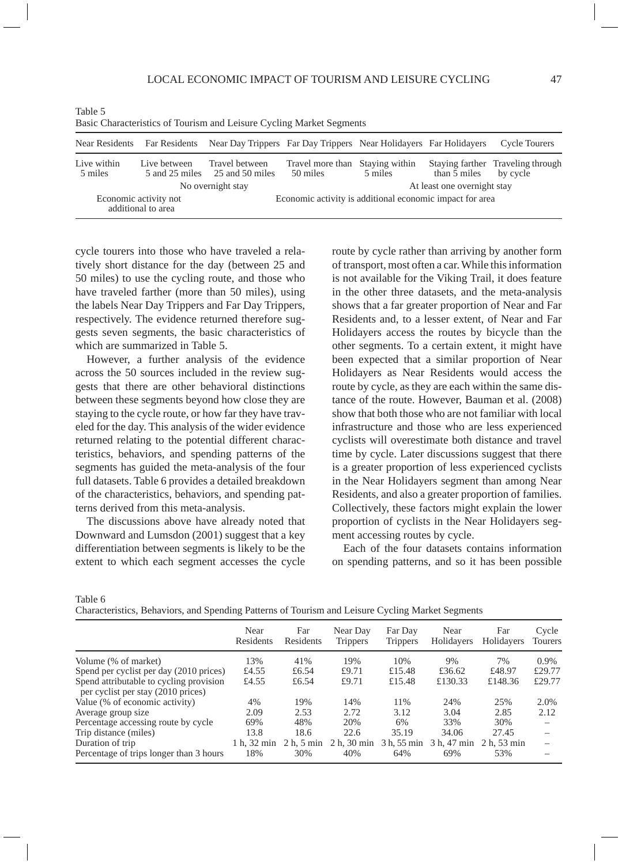|                                             |                      | Basic Characteristics of Tourism and Leisure Cycling Market Segments |                                             |         |                             |                                               |
|---------------------------------------------|----------------------|----------------------------------------------------------------------|---------------------------------------------|---------|-----------------------------|-----------------------------------------------|
| Near Residents                              | <b>Far Residents</b> | Near Day Trippers Far Day Trippers Near Holidayers Far Holidayers    |                                             |         |                             | <b>Cycle Tourers</b>                          |
| Live within<br>5 miles                      | Live between         | Travel between<br>$5$ and $25$ miles $25$ and $50$ miles             | Travel more than Staying within<br>50 miles | 5 miles | than 5 miles                | Staying farther Traveling through<br>by cycle |
|                                             |                      | No overnight stay                                                    |                                             |         | At least one overnight stay |                                               |
| Economic activity not<br>additional to area |                      | Economic activity is additional economic impact for area             |                                             |         |                             |                                               |

cycle tourers into those who have traveled a relatively short distance for the day (between 25 and 50 miles) to use the cycling route, and those who have traveled farther (more than 50 miles), using the labels Near Day Trippers and Far Day Trippers, respectively. The evidence returned therefore suggests seven segments, the basic characteristics of which are summarized in Table 5.

However, a further analysis of the evidence across the 50 sources included in the review suggests that there are other behavioral distinctions between these segments beyond how close they are staying to the cycle route, or how far they have traveled for the day. This analysis of the wider evidence returned relating to the potential different characteristics, behaviors, and spending patterns of the segments has guided the meta-analysis of the four full datasets. Table 6 provides a detailed breakdown of the characteristics, behaviors, and spending patterns derived from this meta-analysis.

The discussions above have already noted that Downward and Lumsdon (2001) suggest that a key differentiation between segments is likely to be the extent to which each segment accesses the cycle

route by cycle rather than arriving by another form of transport, most often a car. While this information is not available for the Viking Trail, it does feature in the other three datasets, and the meta-analysis shows that a far greater proportion of Near and Far Residents and, to a lesser extent, of Near and Far Holidayers access the routes by bicycle than the other segments. To a certain extent, it might have been expected that a similar proportion of Near Holidavers as Near Residents would access the route by cycle, as they are each within the same distance of the route. However, Bauman et al. (2008) show that both those who are not familiar with local infrastructure and those who are less experienced cyclists will overestimate both distance and travel time by cycle. Later discussions suggest that there is a greater proportion of less experienced cyclists in the Near Holidayers segment than among Near Residents, and also a greater proportion of families. Collectively, these factors might explain the lower proportion of cyclists in the Near Holidayers segment accessing routes by cycle.

Each of the four datasets contains information on spending patterns, and so it has been possible

Table 6

Table 5

|  | Characteristics, Behaviors, and Spending Patterns of Tourism and Leisure Cycling Market Segments |  |  |  |
|--|--------------------------------------------------------------------------------------------------|--|--|--|
|--|--------------------------------------------------------------------------------------------------|--|--|--|

|                                                                               | Near<br>Residents | Far<br>Residents | Near Day<br><b>Trippers</b> | Far Day<br><b>Trippers</b> | Near<br>Holidayers | Far<br>Holidayers | Cycle<br>Tourers |
|-------------------------------------------------------------------------------|-------------------|------------------|-----------------------------|----------------------------|--------------------|-------------------|------------------|
| Volume (% of market)                                                          | 13%               | 41%              | 19%                         | 10%                        | 9%                 | 7%                | $0.9\%$          |
| Spend per cyclist per day (2010 prices)                                       | £4.55             | £6.54            | £9.71                       | £15.48                     | £36.62             | £48.97            | £29.77           |
| Spend attributable to cycling provision<br>per cyclist per stay (2010 prices) | £4.55             | £6.54            | £9.71                       | £15.48                     | £130.33            | £148.36           | £29.77           |
| Value (% of economic activity)                                                | 4%                | 19%              | 14%                         | 11%                        | 24%                | 25%               | 2.0%             |
| Average group size                                                            | 2.09              | 2.53             | 2.72                        | 3.12                       | 3.04               | 2.85              | 2.12             |
| Percentage accessing route by cycle                                           | 69%               | 48%              | 20%                         | 6%                         | 33%                | 30%               |                  |
| Trip distance (miles)                                                         | 13.8              | 18.6             | 22.6                        | 35.19                      | 34.06              | 27.45             |                  |
| Duration of trip                                                              | 1 h. 32 min       |                  | $2 h, 5 min$ $2 h, 30 min$  | 3 h, 55 min                | 3 h, 47 min        | 2 h, 53 min       |                  |
| Percentage of trips longer than 3 hours                                       | 18%               | 30%              | 40%                         | 64%                        | 69%                | 53%               |                  |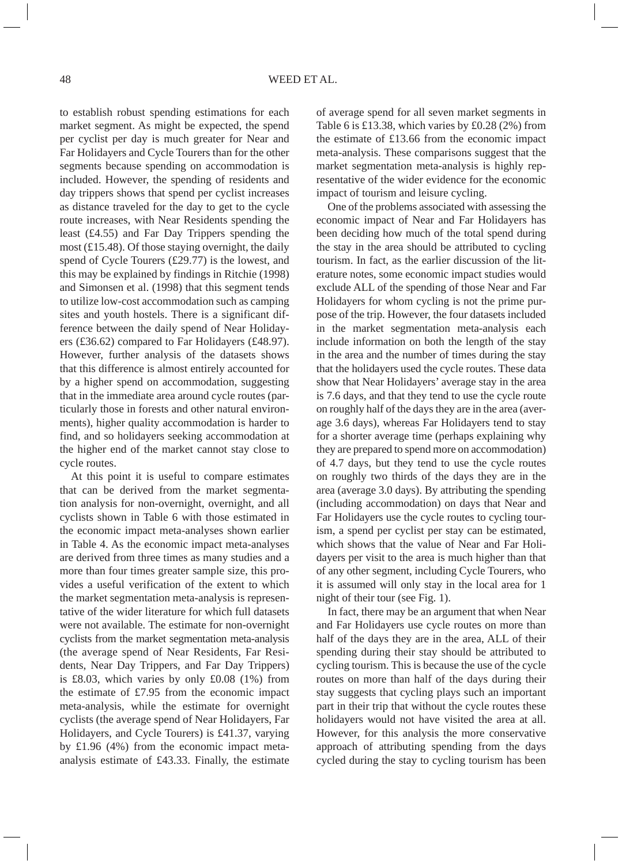to establish robust spending estimations for each market segment. As might be expected, the spend per cyclist per day is much greater for Near and Far Holidayers and Cycle Tourers than for the other segments because spending on accommodation is included. However, the spending of residents and day trippers shows that spend per cyclist increases as distance traveled for the day to get to the cycle route increases, with Near Residents spending the least  $(£4.55)$  and Far Day Trippers spending the most  $(£15.48)$ . Of those staying overnight, the daily spend of Cycle Tourers (£29.77) is the lowest, and this may be explained by findings in Ritchie (1998) and Simonsen et al. (1998) that this segment tends to utilize low-cost accommodation such as camping sites and youth hostels. There is a significant difference between the daily spend of Near Holidayers (£36.62) compared to Far Holidayers (£48.97). However, further analysis of the datasets shows that this difference is almost entirely accounted for by a higher spend on accommodation, suggesting that in the immediate area around cycle routes (particularly those in forests and other natural environments), higher quality accommodation is harder to find, and so holidayers seeking accommodation at the higher end of the market cannot stay close to cycle routes.

At this point it is useful to compare estimates that can be derived from the market segmentation analysis for non-overnight, overnight, and all cyclists shown in Table 6 with those estimated in the economic impact meta-analyses shown earlier in Table 4. As the economic impact meta-analyses are derived from three times as many studies and a more than four times greater sample size, this provides a useful verification of the extent to which the market segmentation meta-analysis is representative of the wider literature for which full datasets were not available. The estimate for non-overnight cyclists from the market segmentation meta-analysis (the average spend of Near Residents, Far Residents, Near Day Trippers, and Far Day Trippers) is £8.03, which varies by only £0.08 (1%) from the estimate of  $£7.95$  from the economic impact meta-analysis, while the estimate for overnight cyclists (the average spend of Near Holidayers, Far Holidayers, and Cycle Tourers) is £41.37, varying by £1.96 (4%) from the economic impact metaanalysis estimate of £43.33. Finally, the estimate of average spend for all seven market segments in Table 6 is £13.38, which varies by £0.28 (2%) from the estimate of  $£13.66$  from the economic impact meta-analysis. These comparisons suggest that the market segmentation meta-analysis is highly representative of the wider evidence for the economic impact of tourism and leisure cycling.

One of the problems associated with assessing the economic impact of Near and Far Holidayers has been deciding how much of the total spend during the stay in the area should be attributed to cycling tourism. In fact, as the earlier discussion of the literature notes, some economic impact studies would exclude ALL of the spending of those Near and Far Holidayers for whom cycling is not the prime purpose of the trip. However, the four datasets included in the market segmentation meta-analysis each include information on both the length of the stay in the area and the number of times during the stay that the holidayers used the cycle routes. These data show that Near Holidayers' average stay in the area is 7.6 days, and that they tend to use the cycle route on roughly half of the days they are in the area (average 3.6 days), whereas Far Holidayers tend to stay for a shorter average time (perhaps explaining why they are prepared to spend more on accommodation) of 4.7 days, but they tend to use the cycle routes on roughly two thirds of the days they are in the area (average 3.0 days). By attributing the spending (including accommodation) on days that Near and Far Holidayers use the cycle routes to cycling tourism, a spend per cyclist per stay can be estimated, which shows that the value of Near and Far Holidayers per visit to the area is much higher than that of any other segment, including Cycle Tourers, who it is assumed will only stay in the local area for 1 night of their tour (see Fig. 1).

In fact, there may be an argument that when Near and Far Holidayers use cycle routes on more than half of the days they are in the area, ALL of their spending during their stay should be attributed to cycling tourism. This is because the use of the cycle routes on more than half of the days during their stay suggests that cycling plays such an important part in their trip that without the cycle routes these holidayers would not have visited the area at all. However, for this analysis the more conservative approach of attributing spending from the days cycled during the stay to cycling tourism has been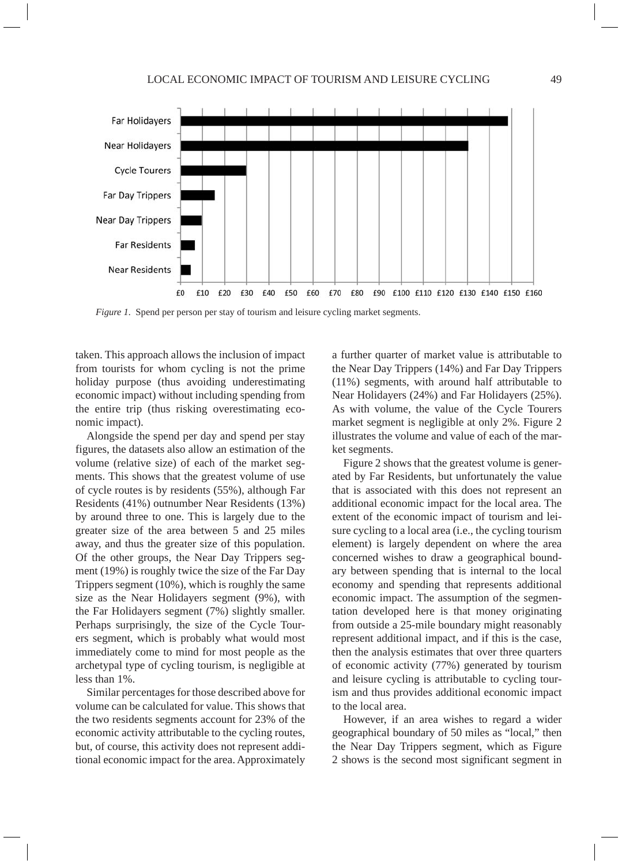

Figure 1. Spend per person per stay of tourism and leisure cycling market segments.

taken. This approach allows the inclusion of impact from tourists for whom cycling is not the prime<br>holiday purpose (thus avoiding underestimating<br>economic impact) without including spending from the entire trip (thus risking overestimating economic impact).

Alongside the spend per day and spend per stay figures, the datasets also allow an estimation of the volume (relative size) of each of the market segments. This shows that the greatest volume of use of cycle routes is by residents (55%), although Far Residents (41%) outnumber Near Residents (13%) by around three to one. This is largely due to the greater size of the area between 5 and 25 miles away, and thus the greater size of this population. Of the other groups, the Near Day Trippers segment (19%) is roughly twice the size of the Far Day Trippers segment (10%), which is roughly the same size as the Near Holidayers segment (9%), with the Far Holidayers segment (7%) slightly smaller.<br>Perhaps surprisingly, the size of the Cycle Tourexample example, which is probably what would most<br>immediately come to mind for most people as the archetypal type of cycling tourism, is negligible at less than 1%.

Similar percentages for those described above for volume can be calculated for value. This shows that the two residents segments account for 23% of the economic activity attributable to the cycling routes, but, of course, this activity does not represent additional economic impact for the area. Approximately

a further quarter of market value is attributable to the Near Day Trippers (14%) and Far Day Trippers (11%) segments, with around half attributable to Near Holidayers (24%) and Far Holidayers (25%). As with volume, the value of the Cycle Tourers market segment is negligible at only 2%. Figure 2 illustrates the volume and value of each of the market segments.

Figure 2 shows that the greatest volume is generated by Far Residents, but unfortunately the value that is associated with this does not represent an additional economic impact for the local area. The extent of the economic impact of tourism and leisure cycling to a local area (i.e., the cycling tourism<br>element) is largely dependent on where the area concerned wishes to draw a geographical boundary between spending that is internal to the local economy and spending that represents additional economic impact. The assumption of the segmentation developed here is that money originating from outside a 25-mile boundary might reasonably represent additional impact, and if this is the case, then the analysis estimates that over three quarters of economic activity (77%) generated by tourism and leisure cycling is attributable to cycling tourism and thus provides additional economic impact to the local area.

However, if an area wishes to regard a wider geographical boundary of 50 miles as "local," then the Near Day Trippers segment, which as Figure 2 shows is the second most significant segment in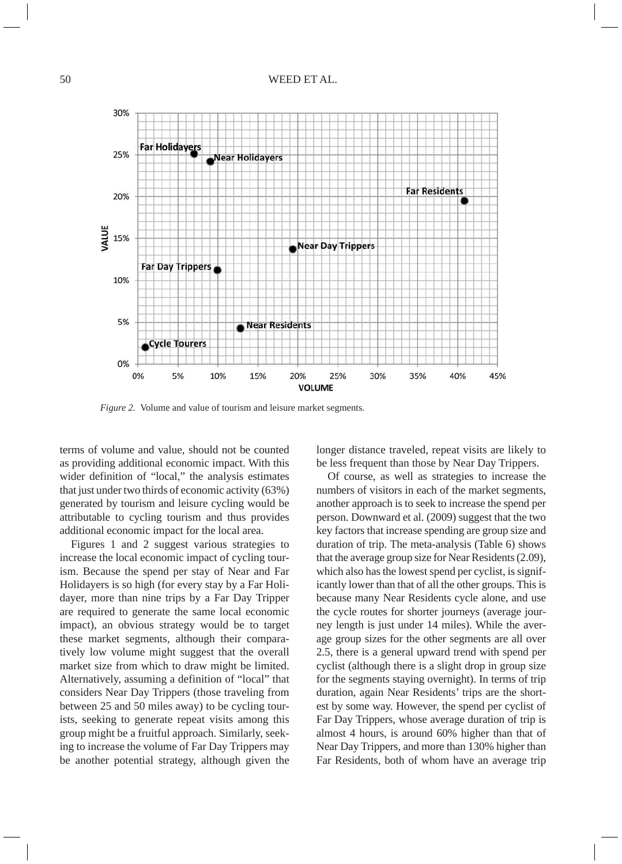

Figure 2. Volume and value of tourism and leisure market segments.

terms of volume and value, should not be counted as providing additional economic impact. With this wider definition of "local," the analysis estimates that just under two thirds of economic activity (63%) generated by tourism and leisure cycling would be attributable to cycling tourism and thus provides additional economic impact for the local area.

Figures 1 and 2 suggest various strategies to increase the local economic impact of cycling tourism. Because the spend per stay of Near and Far Holidayers is so high (for every stay by a Far Holidayer, more than nine trips by a Far Day Tripper are required to generate the same local economic impact), an obvious strategy would be to target these market segments, although their comparatively low volume might suggest that the overall market size from which to draw might be limited. Alternatively, assuming a definition of "local" that considers Near Day Trippers (those traveling from between 25 and 50 miles away) to be cycling tourists, seeking to generate repeat visits among this group might be a fruitful approach. Similarly, seeking to increase the volume of Far Day Trippers may be another potential strategy, although given the longer distance traveled, repeat visits are likely to be less frequent than those by Near Day Trippers.

Of course, as well as strategies to increase the numbers of visitors in each of the market segments, another approach is to seek to increase the spend per person. Downward et al. (2009) suggest that the two key factors that increase spending are group size and duration of trip. The meta-analysis (Table 6) shows that the average group size for Near Residents (2.09), which also has the lowest spend per cyclist, is significantly lower than that of all the other groups. This is because many Near Residents cycle alone, and use the cycle routes for shorter journeys (average journey length is just under 14 miles). While the average group sizes for the other segments are all over 2.5, there is a general upward trend with spend per cyclist (although there is a slight drop in group size for the segments staying overnight). In terms of trip duration, again Near Residents' trips are the shortest by some way. However, the spend per cyclist of Far Day Trippers, whose average duration of trip is almost 4 hours, is around 60% higher than that of Near Day Trippers, and more than 130% higher than Far Residents, both of whom have an average trip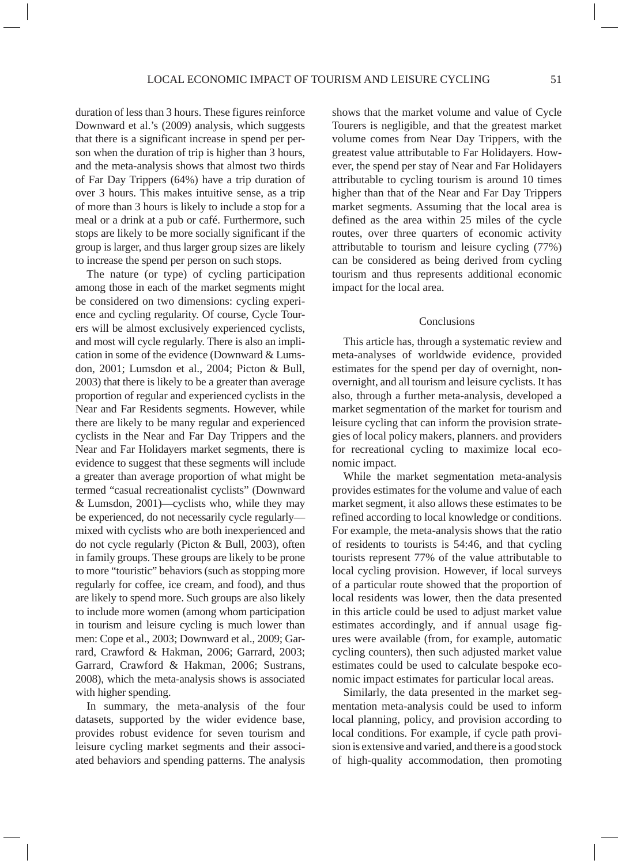duration of less than 3 hours. These figures reinforce Downward et al.'s (2009) analysis, which suggests that there is a significant increase in spend per person when the duration of trip is higher than 3 hours, and the meta-analysis shows that almost two thirds of Far Day Trippers (64%) have a trip duration of over 3 hours. This makes intuitive sense, as a trip of more than 3 hours is likely to include a stop for a meal or a drink at a pub or café. Furthermore, such stops are likely to be more socially significant if the group is larger, and thus larger group sizes are likely to increase the spend per person on such stops.

The nature (or type) of cycling participation among those in each of the market segments might be considered on two dimensions: cycling experience and cycling regularity. Of course, Cycle Tourers will be almost exclusively experienced cyclists, and most will cycle regularly. There is also an implication in some of the evidence (Downward  $&$  Lumsdon, 2001; Lumsdon et al., 2004; Picton & Bull. 2003) that there is likely to be a greater than average proportion of regular and experienced cyclists in the Near and Far Residents segments. However, while there are likely to be many regular and experienced cyclists in the Near and Far Day Trippers and the Near and Far Holidayers market segments, there is evidence to suggest that these segments will include a greater than average proportion of what might be termed "casual recreationalist cyclists" (Downward & Lumsdon, 2001)—cyclists who, while they may be experienced, do not necessarily cycle regularlymixed with cyclists who are both inexperienced and do not cycle regularly (Picton & Bull, 2003), often in family groups. These groups are likely to be prone to more "touristic" behaviors (such as stopping more regularly for coffee, ice cream, and food), and thus are likely to spend more. Such groups are also likely to include more women (among whom participation in tourism and leisure cycling is much lower than men: Cope et al., 2003; Downward et al., 2009; Garrard, Crawford & Hakman, 2006; Garrard, 2003; Garrard, Crawford & Hakman, 2006; Sustrans, 2008), which the meta-analysis shows is associated with higher spending.

In summary, the meta-analysis of the four datasets, supported by the wider evidence base, provides robust evidence for seven tourism and leisure cycling market segments and their associated behaviors and spending patterns. The analysis shows that the market volume and value of Cycle Tourers is negligible, and that the greatest market volume comes from Near Day Trippers, with the greatest value attributable to Far Holidayers. However, the spend per stay of Near and Far Holidayers attributable to cycling tourism is around 10 times higher than that of the Near and Far Day Trippers market segments. Assuming that the local area is defined as the area within 25 miles of the cycle routes, over three quarters of economic activity attributable to tourism and leisure cycling (77%) can be considered as being derived from cycling tourism and thus represents additional economic impact for the local area.

## Conclusions

This article has, through a systematic review and meta-analyses of worldwide evidence, provided estimates for the spend per day of overnight, nonovernight, and all tourism and leisure cyclists. It has also, through a further meta-analysis, developed a market segmentation of the market for tourism and leisure cycling that can inform the provision strategies of local policy makers, planners, and providers for recreational cycling to maximize local economic impact.

While the market segmentation meta-analysis provides estimates for the volume and value of each market segment, it also allows these estimates to be refined according to local knowledge or conditions. For example, the meta-analysis shows that the ratio of residents to tourists is 54:46, and that cycling tourists represent 77% of the value attributable to local cycling provision. However, if local surveys of a particular route showed that the proportion of local residents was lower, then the data presented in this article could be used to adjust market value estimates accordingly, and if annual usage figures were available (from, for example, automatic cycling counters), then such adjusted market value estimates could be used to calculate bespoke economic impact estimates for particular local areas.

Similarly, the data presented in the market segmentation meta-analysis could be used to inform local planning, policy, and provision according to local conditions. For example, if cycle path provision is extensive and varied, and there is a good stock of high-quality accommodation, then promoting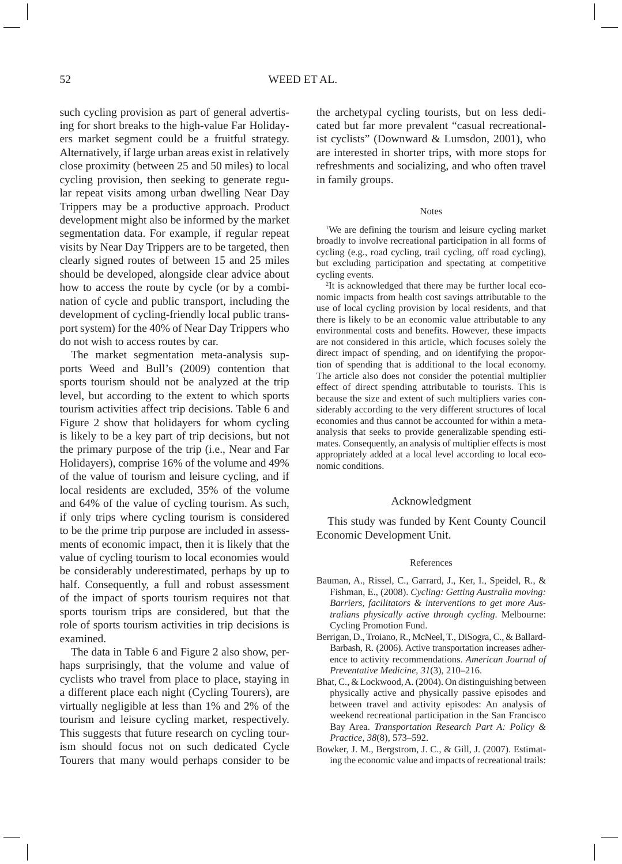such cycling provision as part of general advertising for short breaks to the high-value Far Holidayers market segment could be a fruitful strategy. Alternatively, if large urban areas exist in relatively close proximity (between 25 and 50 miles) to local cycling provision, then seeking to generate regular repeat visits among urban dwelling Near Day Trippers may be a productive approach. Product development might also be informed by the market segmentation data. For example, if regular repeat visits by Near Day Trippers are to be targeted, then clearly signed routes of between 15 and 25 miles should be developed, alongside clear advice about how to access the route by cycle (or by a combination of cycle and public transport, including the development of cycling-friendly local public transport system) for the 40% of Near Day Trippers who do not wish to access routes by car.

The market segmentation meta-analysis supports Weed and Bull's (2009) contention that sports tourism should not be analyzed at the trip level, but according to the extent to which sports tourism activities affect trip decisions. Table 6 and Figure 2 show that holidayers for whom cycling is likely to be a key part of trip decisions, but not the primary purpose of the trip (i.e., Near and Far Holidayers), comprise 16% of the volume and 49% of the value of tourism and leisure cycling, and if local residents are excluded, 35% of the volume and 64% of the value of cycling tourism. As such, if only trips where cycling tourism is considered to be the prime trip purpose are included in assessments of economic impact, then it is likely that the value of cycling tourism to local economies would be considerably underestimated, perhaps by up to half. Consequently, a full and robust assessment of the impact of sports tourism requires not that sports tourism trips are considered, but that the role of sports tourism activities in trip decisions is examined.

The data in Table 6 and Figure 2 also show, perhaps surprisingly, that the volume and value of cyclists who travel from place to place, staying in a different place each night (Cycling Tourers), are virtually negligible at less than 1% and 2% of the tourism and leisure cycling market, respectively. This suggests that future research on cycling tourism should focus not on such dedicated Cycle Tourers that many would perhaps consider to be

the archetypal cycling tourists, but on less dedicated but far more prevalent "casual recreationalist cyclists" (Downward & Lumsdon, 2001), who are interested in shorter trips, with more stops for refreshments and socializing, and who often travel in family groups.

#### **Notes**

<sup>1</sup>We are defining the tourism and leisure cycling market broadly to involve recreational participation in all forms of cycling (e.g., road cycling, trail cycling, off road cycling), but excluding participation and spectating at competitive cycling events.

<sup>2</sup>It is acknowledged that there may be further local economic impacts from health cost savings attributable to the use of local cycling provision by local residents, and that there is likely to be an economic value attributable to any environmental costs and benefits. However, these impacts are not considered in this article, which focuses solely the direct impact of spending, and on identifying the proportion of spending that is additional to the local economy. The article also does not consider the potential multiplier effect of direct spending attributable to tourists. This is because the size and extent of such multipliers varies considerably according to the very different structures of local economies and thus cannot be accounted for within a metaanalysis that seeks to provide generalizable spending estimates. Consequently, an analysis of multiplier effects is most appropriately added at a local level according to local economic conditions.

### Acknowledgment

This study was funded by Kent County Council Economic Development Unit.

#### References

- Bauman, A., Rissel, C., Garrard, J., Ker, I., Speidel, R., & Fishman, E., (2008). Cycling: Getting Australia moving: Barriers, facilitators & interventions to get more Australians physically active through cycling. Melbourne: Cycling Promotion Fund.
- Berrigan, D., Troiano, R., McNeel, T., DiSogra, C., & Ballard-Barbash, R. (2006). Active transportation increases adherence to activity recommendations. American Journal of Preventative Medicine, 31(3), 210-216.
- Bhat, C., & Lockwood, A. (2004). On distinguishing between physically active and physically passive episodes and between travel and activity episodes: An analysis of weekend recreational participation in the San Francisco Bay Area. Transportation Research Part A: Policy & Practice, 38(8), 573-592.
- Bowker, J. M., Bergstrom, J. C., & Gill, J. (2007). Estimating the economic value and impacts of recreational trails: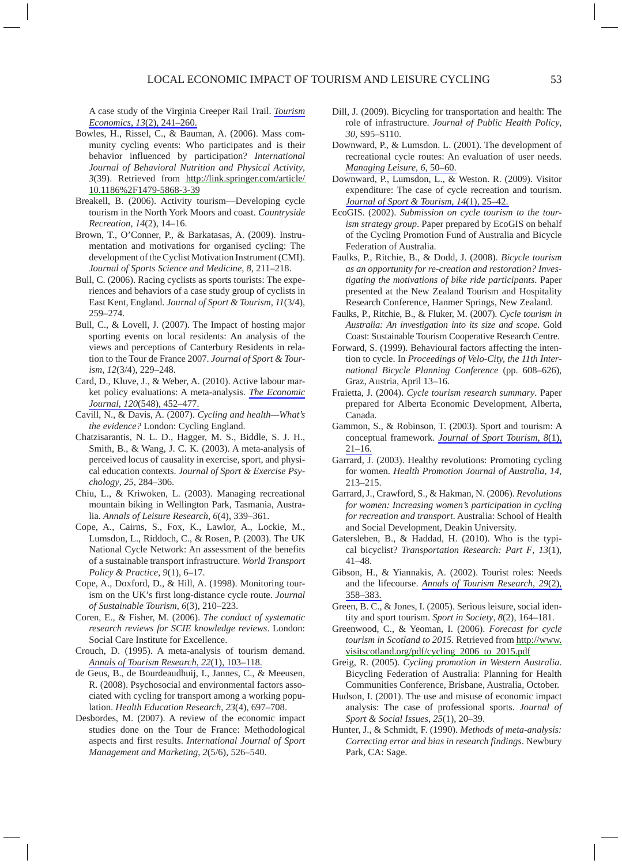A case study of the Virginia Creeper Rail Trail. Tourism Economics, 13(2), 241-260.

- Bowles, H., Rissel, C., & Bauman, A. (2006). Mass community cycling events: Who participates and is their behavior influenced by participation? International Journal of Behavioral Nutrition and Physical Activity, 3(39). Retrieved from http://link.springer.com/article/ 10.1186%2F1479-5868-3-39
- Breakell, B. (2006). Activity tourism-Developing cycle tourism in the North York Moors and coast. Countryside Recreation, 14(2), 14-16.
- Brown, T., O'Conner, P., & Barkatasas, A. (2009). Instrumentation and motivations for organised cycling: The development of the Cyclist Motivation Instrument (CMI). Journal of Sports Science and Medicine, 8, 211-218.
- Bull, C. (2006). Racing cyclists as sports tourists: The experiences and behaviors of a case study group of cyclists in East Kent, England. Journal of Sport & Tourism, 11(3/4), 259-274.
- Bull, C., & Lovell, J. (2007). The Impact of hosting major sporting events on local residents: An analysis of the views and perceptions of Canterbury Residents in relation to the Tour de France 2007. Journal of Sport & Tourism, 12(3/4), 229-248.
- Card, D., Kluve, J., & Weber, A. (2010). Active labour market policy evaluations: A meta-analysis. The Economic Journal, 120(548), 452-477.
- Cavill, N., & Davis, A. (2007). Cycling and health-What's the evidence? London: Cycling England.
- Chatzisarantis, N. L. D., Hagger, M. S., Biddle, S. J. H., Smith, B., & Wang, J. C. K. (2003). A meta-analysis of perceived locus of causality in exercise, sport, and physical education contexts. Journal of Sport & Exercise Psychology, 25, 284-306.
- Chiu, L., & Kriwoken, L. (2003). Managing recreational mountain biking in Wellington Park, Tasmania, Australia. Annals of Leisure Research, 6(4), 339-361.
- Cope, A., Cairns, S., Fox, K., Lawlor, A., Lockie, M., Lumsdon, L., Riddoch, C., & Rosen, P. (2003). The UK National Cycle Network: An assessment of the benefits of a sustainable transport infrastructure. World Transport Policy & Practice,  $9(1)$ , 6-17.
- Cope, A., Doxford, D., & Hill, A. (1998). Monitoring tourism on the UK's first long-distance cycle route. Journal of Sustainable Tourism, 6(3), 210-223.
- Coren, E., & Fisher, M. (2006). The conduct of systematic research reviews for SCIE knowledge reviews. London: Social Care Institute for Excellence.
- Crouch, D. (1995). A meta-analysis of tourism demand. Annals of Tourism Research, 22(1), 103-118.
- de Geus, B., de Bourdeaudhuij, I., Jannes, C., & Meeusen, R. (2008). Psychosocial and environmental factors associated with cycling for transport among a working population. Health Education Research, 23(4), 697-708.
- Desbordes, M. (2007). A review of the economic impact studies done on the Tour de France: Methodological aspects and first results. International Journal of Sport Management and Marketing, 2(5/6), 526-540.
- Dill, J. (2009). Bicycling for transportation and health: The role of infrastructure. Journal of Public Health Policy, 30, S95-S110.
- Downward, P., & Lumsdon. L. (2001). The development of recreational cycle routes: An evaluation of user needs. Managing Leisure, 6, 50-60.
- Downward, P., Lumsdon, L., & Weston. R. (2009). Visitor expenditure: The case of cycle recreation and tourism. Journal of Sport & Tourism, 14(1), 25-42.
- EcoGIS. (2002). Submission on cycle tourism to the tourism strategy group. Paper prepared by EcoGIS on behalf of the Cycling Promotion Fund of Australia and Bicycle Federation of Australia.
- Faulks, P., Ritchie, B., & Dodd, J. (2008). Bicycle tourism as an opportunity for re-creation and restoration? Investigating the motivations of bike ride participants. Paper presented at the New Zealand Tourism and Hospitality Research Conference, Hanmer Springs, New Zealand.
- Faulks, P., Ritchie, B., & Fluker, M. (2007). Cycle tourism in Australia: An investigation into its size and scope. Gold Coast: Sustainable Tourism Cooperative Research Centre.
- Forward, S. (1999). Behavioural factors affecting the intention to cycle. In Proceedings of Velo-City, the 11th International Bicycle Planning Conference (pp. 608-626), Graz, Austria, April 13-16.
- Fraietta, J. (2004). Cycle tourism research summary. Paper prepared for Alberta Economic Development, Alberta, Canada.
- Gammon, S., & Robinson, T. (2003). Sport and tourism: A conceptual framework. Journal of Sport Tourism, 8(1),  $21 - 16.$
- Garrard, J. (2003). Healthy revolutions: Promoting cycling for women. Health Promotion Journal of Australia, 14,  $213 - 215$ .
- Garrard, J., Crawford, S., & Hakman, N. (2006). Revolutions for women: Increasing women's participation in cycling for recreation and transport. Australia: School of Health and Social Development, Deakin University.
- Gatersleben, B., & Haddad, H. (2010). Who is the typical bicyclist? Transportation Research: Part F, 13(1),  $41 - 48$ .
- Gibson, H., & Yiannakis, A. (2002). Tourist roles: Needs and the lifecourse. Annals of Tourism Research, 29(2), 358-383.
- Green, B. C., & Jones, I. (2005). Serious leisure, social identity and sport tourism. Sport in Society, 8(2), 164-181.
- Greenwood, C., & Yeoman, I. (2006). Forecast for cycle tourism in Scotland to 2015. Retrieved from http://www. visitscotland.org/pdf/cycling\_2006\_to\_2015.pdf
- Greig, R. (2005). Cycling promotion in Western Australia. Bicycling Federation of Australia: Planning for Health Communities Conference, Brisbane, Australia, October.
- Hudson, I. (2001). The use and misuse of economic impact analysis: The case of professional sports. Journal of Sport & Social Issues, 25(1), 20-39.
- Hunter, J., & Schmidt, F. (1990). Methods of meta-analysis: Correcting error and bias in research findings. Newbury Park, CA: Sage.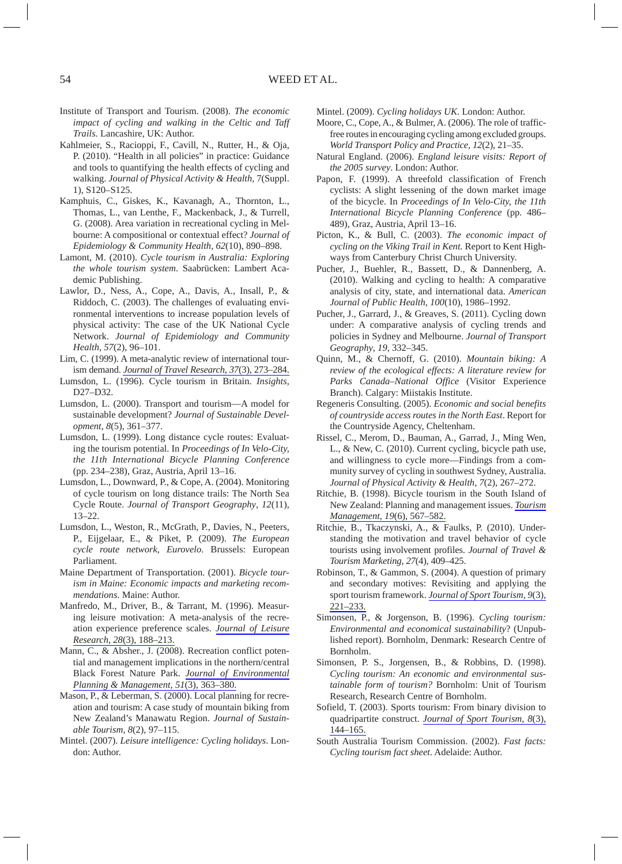- Institute of Transport and Tourism. (2008). The economic impact of cycling and walking in the Celtic and Taff Trails. Lancashire, UK: Author.
- Kahlmeier, S., Racioppi, F., Cavill, N., Rutter, H., & Oja, P. (2010). "Health in all policies" in practice: Guidance and tools to quantifying the health effects of cycling and walking. Journal of Physical Activity & Health, 7(Suppl. 1), S120-S125.
- Kamphuis, C., Giskes, K., Kavanagh, A., Thornton, L., Thomas, L., van Lenthe, F., Mackenback, J., & Turrell, G. (2008). Area variation in recreational cycling in Melbourne: A compositional or contextual effect? Journal of Epidemiology & Community Health, 62(10), 890-898.
- Lamont, M. (2010). Cycle tourism in Australia: Exploring the whole tourism system. Saabrücken: Lambert Academic Publishing.
- Lawlor, D., Ness, A., Cope, A., Davis, A., Insall, P., & Riddoch, C. (2003). The challenges of evaluating environmental interventions to increase population levels of physical activity: The case of the UK National Cycle Network. Journal of Epidemiology and Community Health, 57(2), 96-101.
- Lim, C. (1999). A meta-analytic review of international tourism demand. Journal of Travel Research, 37(3), 273-284.
- Lumsdon, L. (1996). Cycle tourism in Britain. Insights, D<sub>27</sub>-D<sub>32</sub>.
- Lumsdon, L. (2000). Transport and tourism-A model for sustainable development? Journal of Sustainable Development, 8(5), 361-377.
- Lumsdon, L. (1999). Long distance cycle routes: Evaluating the tourism potential. In Proceedings of In Velo-City, the 11th International Bicycle Planning Conference (pp. 234-238), Graz, Austria, April 13-16.
- Lumsdon, L., Downward, P., & Cope, A. (2004). Monitoring of cycle tourism on long distance trails: The North Sea Cycle Route. Journal of Transport Geography, 12(11),  $13 - 22$
- Lumsdon, L., Weston, R., McGrath, P., Davies, N., Peeters, P., Eijgelaar, E., & Piket, P. (2009). The European cycle route network, Eurovelo. Brussels: European Parliament.
- Maine Department of Transportation. (2001). Bicycle tourism in Maine: Economic impacts and marketing recommendations. Maine: Author.
- Manfredo, M., Driver, B., & Tarrant, M. (1996). Measuring leisure motivation: A meta-analysis of the recreation experience preference scales. Journal of Leisure Research, 28(3), 188-213.
- Mann, C., & Absher., J. (2008). Recreation conflict potential and management implications in the northern/central Black Forest Nature Park. Journal of Environmental Planning & Management,  $51(3)$ ,  $363-380$ .
- Mason, P., & Leberman, S. (2000). Local planning for recreation and tourism: A case study of mountain biking from New Zealand's Manawatu Region. Journal of Sustainable Tourism, 8(2), 97-115.
- Mintel. (2007). Leisure intelligence: Cycling holidays. London: Author.

Mintel. (2009). Cycling holidays UK. London: Author.

- Moore, C., Cope, A., & Bulmer, A. (2006). The role of trafficfree routes in encouraging cycling among excluded groups. World Transport Policy and Practice, 12(2), 21-35.
- Natural England. (2006). England leisure visits: Report of the 2005 survey. London: Author.
- Papon, F. (1999). A threefold classification of French cyclists: A slight lessening of the down market image of the bicycle. In Proceedings of In Velo-City, the 11th International Bicycle Planning Conference (pp. 486-489), Graz, Austria, April 13-16.
- Picton, K., & Bull, C. (2003). The economic impact of cycling on the Viking Trail in Kent. Report to Kent Highways from Canterbury Christ Church University.
- Pucher, J., Buehler, R., Bassett, D., & Dannenberg, A. (2010). Walking and cycling to health: A comparative analysis of city, state, and international data. American Journal of Public Health, 100(10), 1986-1992.
- Pucher, J., Garrard, J., & Greaves, S. (2011). Cycling down under: A comparative analysis of cycling trends and policies in Sydney and Melbourne. Journal of Transport Geography, 19, 332-345.
- Quinn, M., & Chernoff, G. (2010). Mountain biking: A review of the ecological effects: A literature review for Parks Canada-National Office (Visitor Experience Branch). Calgary: Miistakis Institute.
- Regeneris Consulting. (2005). Economic and social benefits of countryside access routes in the North East. Report for the Countryside Agency, Cheltenham.
- Rissel, C., Merom, D., Bauman, A., Garrad, J., Ming Wen, L., & New, C. (2010). Current cycling, bicycle path use, and willingness to cycle more—Findings from a community survey of cycling in southwest Sydney, Australia. Journal of Physical Activity & Health, 7(2), 267-272.
- Ritchie, B. (1998). Bicycle tourism in the South Island of New Zealand: Planning and management issues. Tourism Management, 19(6), 567-582.
- Ritchie, B., Tkaczynski, A., & Faulks, P. (2010). Understanding the motivation and travel behavior of cycle tourists using involvement profiles. Journal of Travel & Tourism Marketing, 27(4), 409-425.
- Robinson, T., & Gammon, S. (2004). A question of primary and secondary motives: Revisiting and applying the sport tourism framework. Journal of Sport Tourism, 9(3),  $221 - 233$ .
- Simonsen, P., & Jorgenson, B. (1996). Cycling tourism: Environmental and economical sustainability? (Unpublished report). Bornholm, Denmark: Research Centre of Bornholm.
- Simonsen, P. S., Jorgensen, B., & Robbins, D. (1998). Cycling tourism: An economic and environmental sustainable form of tourism? Bornholm: Unit of Tourism Research, Research Centre of Bornholm.
- Sofield, T. (2003). Sports tourism: From binary division to quadripartite construct. Journal of Sport Tourism, 8(3),  $144 - 165.$
- South Australia Tourism Commission. (2002). Fast facts: Cycling tourism fact sheet. Adelaide: Author.